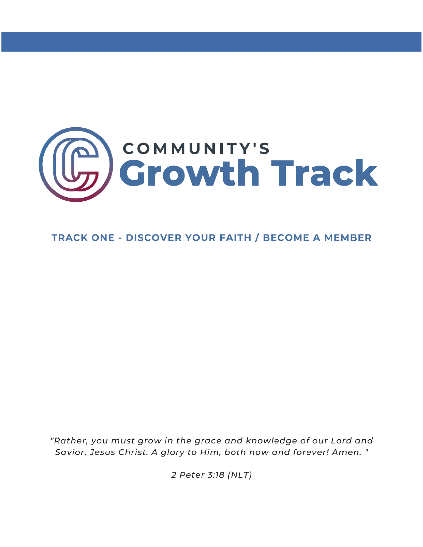

# **TRACK ONE - DISCOVER YOUR FAITH / BECOME A MEMBER**

"Rather, you must grow in the grace and knowledge of our Lord and Savior, Jesus Christ. A glory to Him, both now and forever! Amen. "

2 Peter 3:18 (NLT)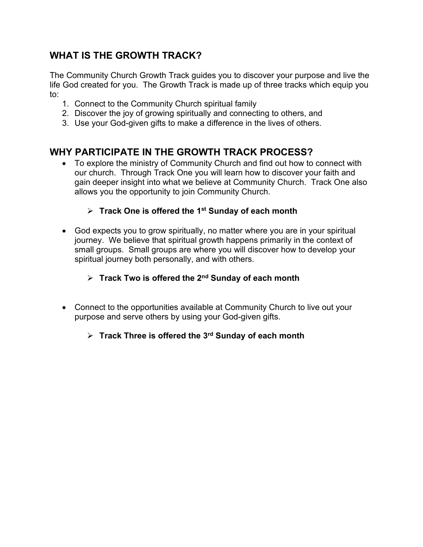# **WHAT IS THE GROWTH TRACK?**

The Community Church Growth Track guides you to discover your purpose and live the life God created for you. The Growth Track is made up of three tracks which equip you to:

- 1. Connect to the Community Church spiritual family
- 2. Discover the joy of growing spiritually and connecting to others, and
- 3. Use your God-given gifts to make a difference in the lives of others.

# **WHY PARTICIPATE IN THE GROWTH TRACK PROCESS?**

• To explore the ministry of Community Church and find out how to connect with our church. Through Track One you will learn how to discover your faith and gain deeper insight into what we believe at Community Church. Track One also allows you the opportunity to join Community Church.

### **Track One is offered the 1st Sunday of each month**

• God expects you to grow spiritually, no matter where you are in your spiritual journey. We believe that spiritual growth happens primarily in the context of small groups. Small groups are where you will discover how to develop your spiritual journey both personally, and with others.

### **Track Two is offered the 2nd Sunday of each month**

• Connect to the opportunities available at Community Church to live out your purpose and serve others by using your God-given gifts.

### **Track Three is offered the 3rd Sunday of each month**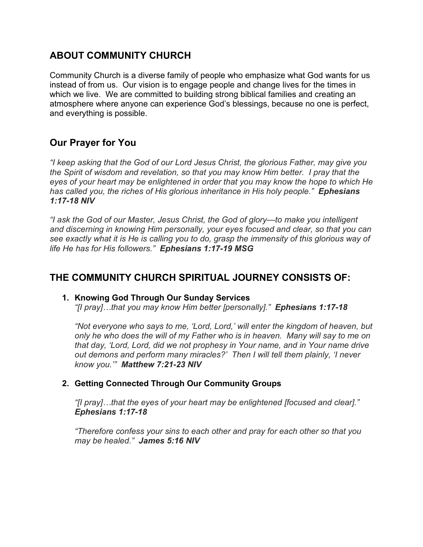# **ABOUT COMMUNITY CHURCH**

Community Church is a diverse family of people who emphasize what God wants for us instead of from us. Our vision is to engage people and change lives for the times in which we live. We are committed to building strong biblical families and creating an atmosphere where anyone can experience God's blessings, because no one is perfect, and everything is possible.

# **Our Prayer for You**

*"I keep asking that the God of our Lord Jesus Christ, the glorious Father, may give you the Spirit of wisdom and revelation, so that you may know Him better. I pray that the eyes of your heart may be enlightened in order that you may know the hope to which He has called you, the riches of His glorious inheritance in His holy people." Ephesians 1:17-18 NIV*

*"I ask the God of our Master, Jesus Christ, the God of glory—to make you intelligent and discerning in knowing Him personally, your eyes focused and clear, so that you can see exactly what it is He is calling you to do, grasp the immensity of this glorious way of life He has for His followers." Ephesians 1:17-19 MSG*

### **THE COMMUNITY CHURCH SPIRITUAL JOURNEY CONSISTS OF:**

#### **1. Knowing God Through Our Sunday Services**

*"[I pray]…that you may know Him better [personally]." Ephesians 1:17-18*

*"Not everyone who says to me, 'Lord, Lord,' will enter the kingdom of heaven, but only he who does the will of my Father who is in heaven. Many will say to me on that day, 'Lord, Lord, did we not prophesy in Your name, and in Your name drive out demons and perform many miracles?' Then I will tell them plainly, 'I never know you.'" Matthew 7:21-23 NIV*

### **2. Getting Connected Through Our Community Groups**

*"[I pray]…that the eyes of your heart may be enlightened [focused and clear]." Ephesians 1:17-18*

*"Therefore confess your sins to each other and pray for each other so that you may be healed." James 5:16 NIV*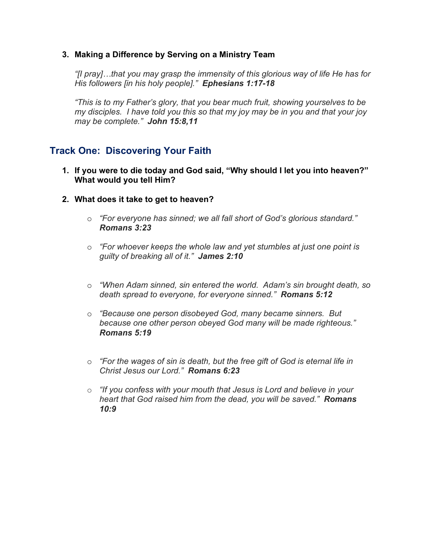### **3. Making a Difference by Serving on a Ministry Team**

*"[I pray]…that you may grasp the immensity of this glorious way of life He has for His followers [in his holy people]." Ephesians 1:17-18*

*"This is to my Father's glory, that you bear much fruit, showing yourselves to be my disciples. I have told you this so that my joy may be in you and that your joy may be complete." John 15:8,11*

# **Track One: Discovering Your Faith**

- **1. If you were to die today and God said, "Why should I let you into heaven?" What would you tell Him?**
- **2. What does it take to get to heaven?**
	- o *"For everyone has sinned; we all fall short of God's glorious standard." Romans 3:23*
	- o *"For whoever keeps the whole law and yet stumbles at just one point is guilty of breaking all of it." James 2:10*
	- o *"When Adam sinned, sin entered the world. Adam's sin brought death, so death spread to everyone, for everyone sinned." Romans 5:12*
	- o *"Because one person disobeyed God, many became sinners. But because one other person obeyed God many will be made righteous." Romans 5:19*
	- o *"For the wages of sin is death, but the free gift of God is eternal life in Christ Jesus our Lord." Romans 6:23*
	- o *"If you confess with your mouth that Jesus is Lord and believe in your heart that God raised him from the dead, you will be saved." Romans 10:9*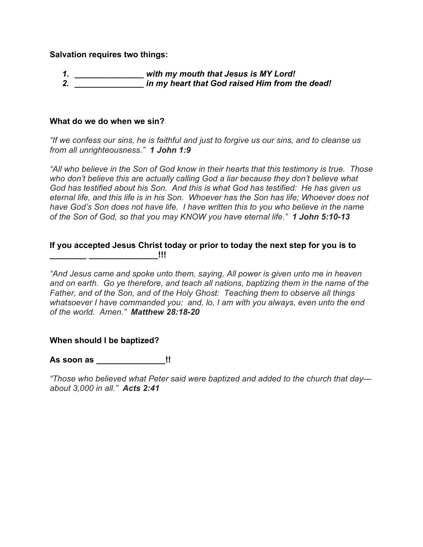**Salvation requires two things:**

| -4 | with my mouth that Jesus is MY Lord!           |
|----|------------------------------------------------|
|    | in my heart that God raised Him from the dead! |

#### **What do we do when we sin?**

*"If we confess our sins, he is faithful and just to forgive us our sins, and to cleanse us from all unrighteousness." 1 John 1:9*

*"All who believe in the Son of God know in their hearts that this testimony is true. Those who don't believe this are actually calling God a liar because they don't believe what God has testified about his Son. And this is what God has testified: He has given us eternal life, and this life is in his Son. Whoever has the Son has life; Whoever does not have God's Son does not have life. I have written this to you who believe in the name of the Son of God, so that you may KNOW you have eternal life." 1 John 5:10-13*

#### **If you accepted Jesus Christ today or prior to today the next step for you is to**   $\blacksquare$

*"And Jesus came and spoke unto them, saying, All power is given unto me in heaven and on earth. Go ye therefore, and teach all nations, baptizing them in the name of the Father, and of the Son, and of the Holy Ghost: Teaching them to observe all things whatsoever I have commanded you: and, lo, I am with you always, even unto the end of the world. Amen." Matthew 28:18-20*

#### **When should I be baptized?**

**As soon as \_\_\_\_\_\_\_\_\_\_\_\_\_\_\_!!**

*"Those who believed what Peter said were baptized and added to the church that day about 3,000 in all." Acts 2:41*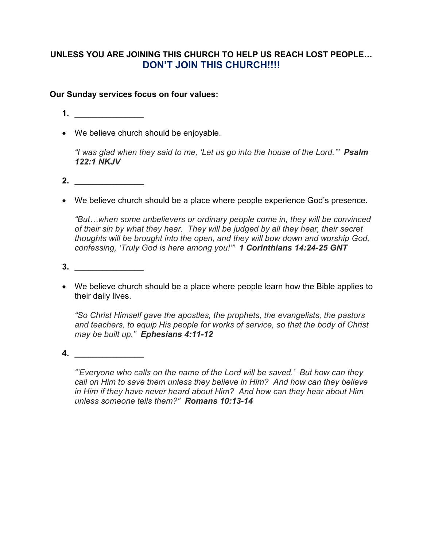### **UNLESS YOU ARE JOINING THIS CHURCH TO HELP US REACH LOST PEOPLE… DON'T JOIN THIS CHURCH!!!!**

### **Our Sunday services focus on four values:**

- **1. \_\_\_\_\_\_\_\_\_\_\_\_\_\_\_**
- We believe church should be enjoyable.

*"I was glad when they said to me, 'Let us go into the house of the Lord.'" Psalm 122:1 NKJV*

- **2. \_\_\_\_\_\_\_\_\_\_\_\_\_\_\_**
- We believe church should be a place where people experience God's presence.

*"But…when some unbelievers or ordinary people come in, they will be convinced of their sin by what they hear. They will be judged by all they hear, their secret thoughts will be brought into the open, and they will bow down and worship God, confessing, 'Truly God is here among you!'" 1 Corinthians 14:24-25 GNT*

- **3. \_\_\_\_\_\_\_\_\_\_\_\_\_\_\_**
- We believe church should be a place where people learn how the Bible applies to their daily lives.

*"So Christ Himself gave the apostles, the prophets, the evangelists, the pastors and teachers, to equip His people for works of service, so that the body of Christ may be built up." Ephesians 4:11-12*

**4. \_\_\_\_\_\_\_\_\_\_\_\_\_\_\_**

*"'Everyone who calls on the name of the Lord will be saved.' But how can they call on Him to save them unless they believe in Him? And how can they believe in Him if they have never heard about Him? And how can they hear about Him unless someone tells them?" Romans 10:13-14*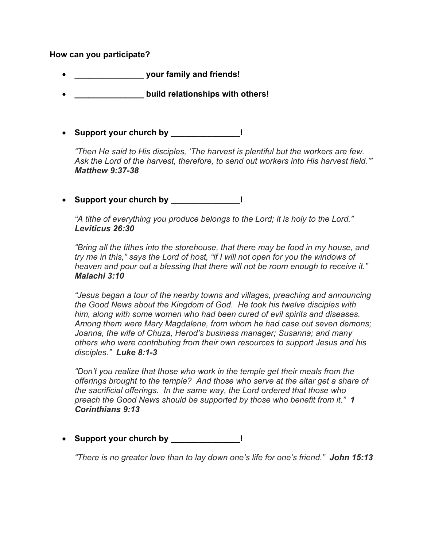#### **How can you participate?**

- **\_\_\_\_\_\_\_\_\_\_\_\_\_\_\_ your family and friends!**
- **\_\_\_\_\_\_\_\_\_\_\_\_\_\_\_ build relationships with others!**
- **Support your church by \_\_\_\_\_\_\_\_\_\_\_\_\_\_\_!**

*"Then He said to His disciples, 'The harvest is plentiful but the workers are few. Ask the Lord of the harvest, therefore, to send out workers into His harvest field.'" Matthew 9:37-38*

• **Support your church by \_\_\_\_\_\_\_\_\_\_\_\_\_\_\_!**

*"A tithe of everything you produce belongs to the Lord; it is holy to the Lord." Leviticus 26:30*

*"Bring all the tithes into the storehouse, that there may be food in my house, and try me in this," says the Lord of host, "if I will not open for you the windows of heaven and pour out a blessing that there will not be room enough to receive it." Malachi 3:10*

*"Jesus began a tour of the nearby towns and villages, preaching and announcing the Good News about the Kingdom of God. He took his twelve disciples with him, along with some women who had been cured of evil spirits and diseases. Among them were Mary Magdalene, from whom he had case out seven demons; Joanna, the wife of Chuza, Herod's business manager; Susanna; and many others who were contributing from their own resources to support Jesus and his disciples." Luke 8:1-3*

*"Don't you realize that those who work in the temple get their meals from the offerings brought to the temple? And those who serve at the altar get a share of the sacrificial offerings. In the same way, the Lord ordered that those who preach the Good News should be supported by those who benefit from it." 1 Corinthians 9:13*

• **Support your church by \_\_\_\_\_\_\_\_\_\_\_\_\_\_\_!**

*"There is no greater love than to lay down one's life for one's friend." John 15:13*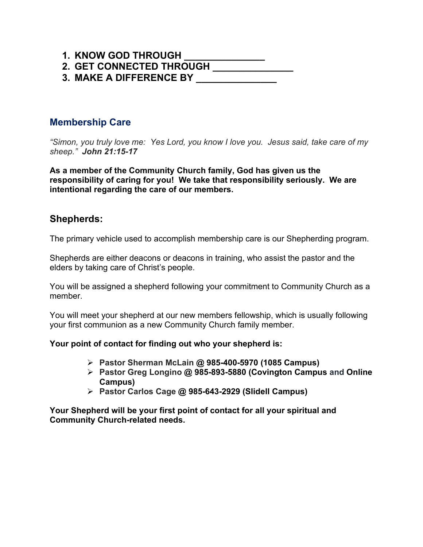### **1. KNOW GOD THROUGH \_\_\_\_\_\_\_\_\_\_\_\_\_\_\_**

**2. GET CONNECTED THROUGH \_\_\_\_\_\_\_\_\_\_\_\_\_\_\_ 3. MAKE A DIFFERENCE BY \_\_\_\_\_\_\_\_\_\_\_\_\_\_\_**

### **Membership Care**

*"Simon, you truly love me: Yes Lord, you know I love you. Jesus said, take care of my sheep." John 21:15-17*

**As a member of the Community Church family, God has given us the responsibility of caring for you! We take that responsibility seriously. We are intentional regarding the care of our members.**

### **Shepherds:**

The primary vehicle used to accomplish membership care is our Shepherding program.

Shepherds are either deacons or deacons in training, who assist the pastor and the elders by taking care of Christ's people.

You will be assigned a shepherd following your commitment to Community Church as a member.

You will meet your shepherd at our new members fellowship, which is usually following your first communion as a new Community Church family member.

#### **Your point of contact for finding out who your shepherd is:**

- **Pastor Sherman McLain @ 985-400-5970 (1085 Campus)**
- **Pastor Greg Longino @ 985-893-5880 (Covington Campus and Online Campus)**
- **Pastor Carlos Cage @ 985-643-2929 (Slidell Campus)**

**Your Shepherd will be your first point of contact for all your spiritual and Community Church-related needs.**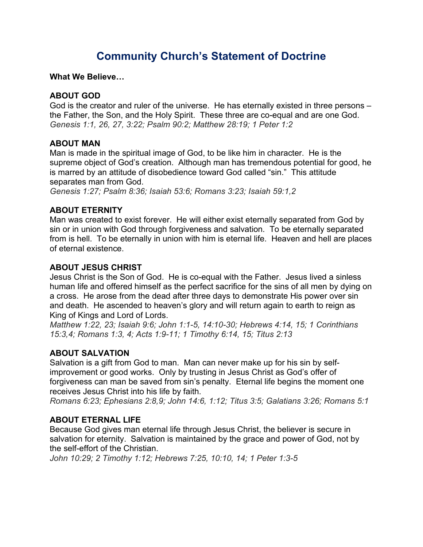# **Community Church's Statement of Doctrine**

**What We Believe…**

### **ABOUT GOD**

God is the creator and ruler of the universe. He has eternally existed in three persons – the Father, the Son, and the Holy Spirit. These three are co-equal and are one God. *Genesis 1:1, 26, 27, 3:22; Psalm 90:2; Matthew 28:19; 1 Peter 1:2*

### **ABOUT MAN**

Man is made in the spiritual image of God, to be like him in character. He is the supreme object of God's creation. Although man has tremendous potential for good, he is marred by an attitude of disobedience toward God called "sin." This attitude separates man from God.

*Genesis 1:27; Psalm 8:36; Isaiah 53:6; Romans 3:23; Isaiah 59:1,2*

### **ABOUT ETERNITY**

Man was created to exist forever. He will either exist eternally separated from God by sin or in union with God through forgiveness and salvation. To be eternally separated from is hell. To be eternally in union with him is eternal life. Heaven and hell are places of eternal existence.

### **ABOUT JESUS CHRIST**

Jesus Christ is the Son of God. He is co-equal with the Father. Jesus lived a sinless human life and offered himself as the perfect sacrifice for the sins of all men by dying on a cross. He arose from the dead after three days to demonstrate His power over sin and death. He ascended to heaven's glory and will return again to earth to reign as King of Kings and Lord of Lords.

*Matthew 1:22, 23; Isaiah 9:6; John 1:1-5, 14:10-30; Hebrews 4:14, 15; 1 Corinthians 15:3,4; Romans 1:3, 4; Acts 1:9-11; 1 Timothy 6:14, 15; Titus 2:13*

### **ABOUT SALVATION**

Salvation is a gift from God to man. Man can never make up for his sin by selfimprovement or good works. Only by trusting in Jesus Christ as God's offer of forgiveness can man be saved from sin's penalty. Eternal life begins the moment one receives Jesus Christ into his life by faith.

*Romans 6:23; Ephesians 2:8,9; John 14:6, 1:12; Titus 3:5; Galatians 3:26; Romans 5:1*

### **ABOUT ETERNAL LIFE**

Because God gives man eternal life through Jesus Christ, the believer is secure in salvation for eternity. Salvation is maintained by the grace and power of God, not by the self-effort of the Christian.

*John 10:29; 2 Timothy 1:12; Hebrews 7:25, 10:10, 14; 1 Peter 1:3-5*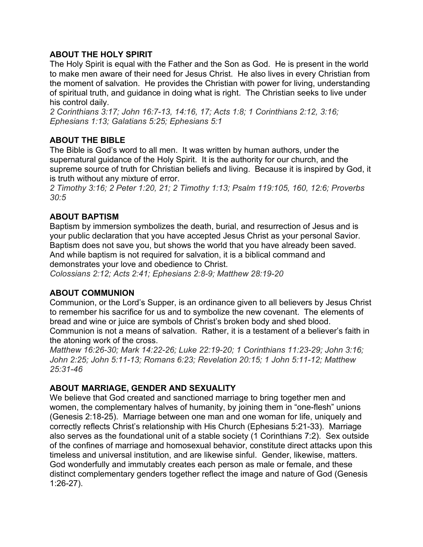### **ABOUT THE HOLY SPIRIT**

The Holy Spirit is equal with the Father and the Son as God. He is present in the world to make men aware of their need for Jesus Christ. He also lives in every Christian from the moment of salvation. He provides the Christian with power for living, understanding of spiritual truth, and guidance in doing what is right. The Christian seeks to live under his control daily.

*2 Corinthians 3:17; John 16:7-13, 14:16, 17; Acts 1:8; 1 Corinthians 2:12, 3:16; Ephesians 1:13; Galatians 5:25; Ephesians 5:1*

### **ABOUT THE BIBLE**

The Bible is God's word to all men. It was written by human authors, under the supernatural guidance of the Holy Spirit. It is the authority for our church, and the supreme source of truth for Christian beliefs and living. Because it is inspired by God, it is truth without any mixture of error.

*2 Timothy 3:16; 2 Peter 1:20, 21; 2 Timothy 1:13; Psalm 119:105, 160, 12:6; Proverbs 30:5*

### **ABOUT BAPTISM**

Baptism by immersion symbolizes the death, burial, and resurrection of Jesus and is your public declaration that you have accepted Jesus Christ as your personal Savior. Baptism does not save you, but shows the world that you have already been saved. And while baptism is not required for salvation, it is a biblical command and demonstrates your love and obedience to Christ.

*Colossians 2:12; Acts 2:41; Ephesians 2:8-9; Matthew 28:19-20*

#### **ABOUT COMMUNION**

Communion, or the Lord's Supper, is an ordinance given to all believers by Jesus Christ to remember his sacrifice for us and to symbolize the new covenant. The elements of bread and wine or juice are symbols of Christ's broken body and shed blood. Communion is not a means of salvation. Rather, it is a testament of a believer's faith in

the atoning work of the cross.

*Matthew 16:26-30; Mark 14:22-26; Luke 22:19-20; 1 Corinthians 11:23-29; John 3:16; John 2:25; John 5:11-13; Romans 6:23; Revelation 20:15; 1 John 5:11-12; Matthew 25:31-46*

#### **ABOUT MARRIAGE, GENDER AND SEXUALITY**

We believe that God created and sanctioned marriage to bring together men and women, the complementary halves of humanity, by joining them in "one-flesh" unions (Genesis 2:18-25). Marriage between one man and one woman for life, uniquely and correctly reflects Christ's relationship with His Church (Ephesians 5:21-33). Marriage also serves as the foundational unit of a stable society (1 Corinthians 7:2). Sex outside of the confines of marriage and homosexual behavior, constitute direct attacks upon this timeless and universal institution, and are likewise sinful. Gender, likewise, matters. God wonderfully and immutably creates each person as male or female, and these distinct complementary genders together reflect the image and nature of God (Genesis 1:26-27).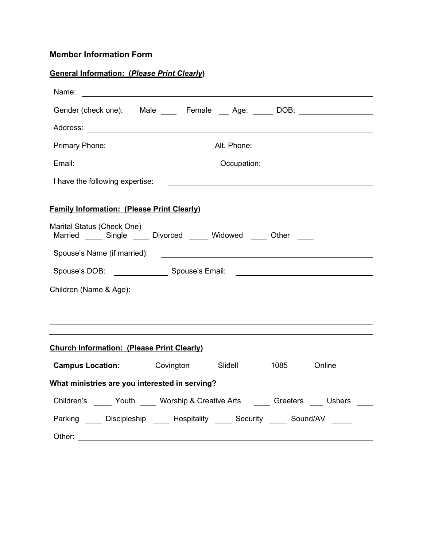### **Member Information Form**

| <b>General Information: (Please Print Clearly)</b>                                                                                                       |  |  |  |  |  |
|----------------------------------------------------------------------------------------------------------------------------------------------------------|--|--|--|--|--|
|                                                                                                                                                          |  |  |  |  |  |
| Gender (check one): Male ____ Female ___ Age: _____ DOB: __________________                                                                              |  |  |  |  |  |
|                                                                                                                                                          |  |  |  |  |  |
| Primary Phone: <u>_____________________________</u> Alt. Phone: _______________________                                                                  |  |  |  |  |  |
|                                                                                                                                                          |  |  |  |  |  |
| I have the following expertise:<br><u> 1989 - Johann Harry Harry Harry Harry Harry Harry Harry Harry Harry Harry Harry Harry Harry Harry Harry Harry</u> |  |  |  |  |  |
| <b>Family Information: (Please Print Clearly)</b>                                                                                                        |  |  |  |  |  |
| Marital Status (Check One)<br>Married ______ Single ______ Divorced ______ Widowed _____ Other _____                                                     |  |  |  |  |  |
| Spouse's Name (if married):<br><u> 1989 - Johann Barbara, martin amerikan basal dan berasal dan berasal dalam basal dan berasal dan berasal dan</u>      |  |  |  |  |  |
| Spouse's DOB: Spouse's Email: Spouse's Email: Spouse's Email: Spouse's Email: Spouse's Email: Spouse 1                                                   |  |  |  |  |  |
| Children (Name & Age):                                                                                                                                   |  |  |  |  |  |
| ,我们也不会有什么。""我们的人,我们也不会有什么?""我们的人,我们也不会有什么?""我们的人,我们也不会有什么?""我们的人,我们也不会有什么?""我们的人                                                                         |  |  |  |  |  |
| <b>Church Information: (Please Print Clearly)</b>                                                                                                        |  |  |  |  |  |
| <b>Campus Location:</b> _______ Covington ______ Slidell _______ 1085 _____ Online                                                                       |  |  |  |  |  |
| What ministries are you interested in serving?                                                                                                           |  |  |  |  |  |
| Children's ______ Youth _____ Worship & Creative Arts ______ Greeters ____ Ushers ____                                                                   |  |  |  |  |  |
| Parking _____ Discipleship _____ Hospitality _____ Security _____ Sound/AV _____                                                                         |  |  |  |  |  |
| Other:<br><u> 1989 - Johann Stoff, deutscher Stoff, der Stoff, der Stoff, der Stoff, der Stoff, der Stoff, der Stoff, der S</u>                          |  |  |  |  |  |